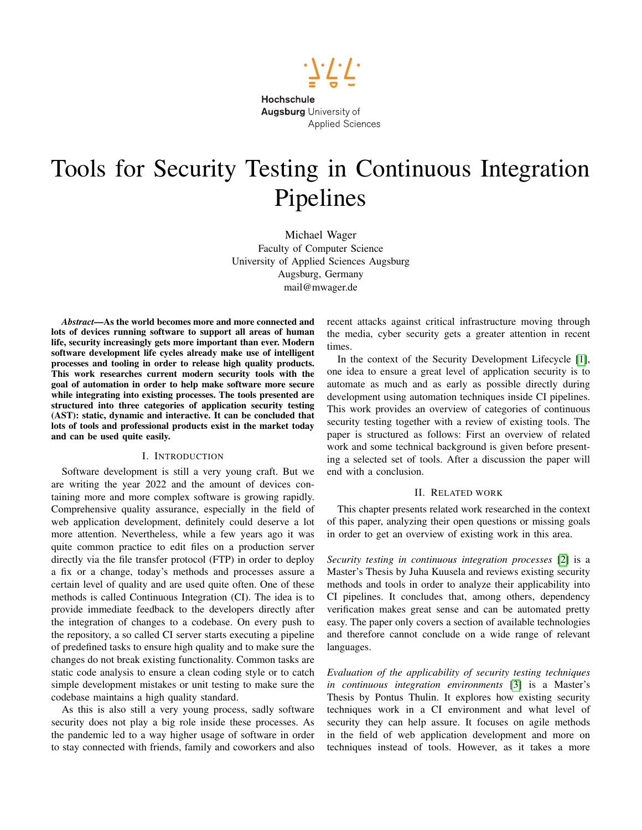

# Tools for Security Testing in Continuous Integration Pipelines

Michael Wager Faculty of Computer Science University of Applied Sciences Augsburg Augsburg, Germany mail@mwager.de

*Abstract*—As the world becomes more and more connected and lots of devices running software to support all areas of human life, security increasingly gets more important than ever. Modern software development life cycles already make use of intelligent processes and tooling in order to release high quality products. This work researches current modern security tools with the goal of automation in order to help make software more secure while integrating into existing processes. The tools presented are structured into three categories of application security testing (AST): static, dynamic and interactive. It can be concluded that lots of tools and professional products exist in the market today and can be used quite easily.

## I. INTRODUCTION

Software development is still a very young craft. But we are writing the year 2022 and the amount of devices containing more and more complex software is growing rapidly. Comprehensive quality assurance, especially in the field of web application development, definitely could deserve a lot more attention. Nevertheless, while a few years ago it was quite common practice to edit files on a production server directly via the file transfer protocol (FTP) in order to deploy a fix or a change, today's methods and processes assure a certain level of quality and are used quite often. One of these methods is called Continuous Integration (CI). The idea is to provide immediate feedback to the developers directly after the integration of changes to a codebase. On every push to the repository, a so called CI server starts executing a pipeline of predefined tasks to ensure high quality and to make sure the changes do not break existing functionality. Common tasks are static code analysis to ensure a clean coding style or to catch simple development mistakes or unit testing to make sure the codebase maintains a high quality standard.

As this is also still a very young process, sadly software security does not play a big role inside these processes. As the pandemic led to a way higher usage of software in order to stay connected with friends, family and coworkers and also

recent attacks against critical infrastructure moving through the media, cyber security gets a greater attention in recent times.

In the context of the Security Development Lifecycle [\[1\]](#page-5-0), one idea to ensure a great level of application security is to automate as much and as early as possible directly during development using automation techniques inside CI pipelines. This work provides an overview of categories of continuous security testing together with a review of existing tools. The paper is structured as follows: First an overview of related work and some technical background is given before presenting a selected set of tools. After a discussion the paper will end with a conclusion.

## II. RELATED WORK

This chapter presents related work researched in the context of this paper, analyzing their open questions or missing goals in order to get an overview of existing work in this area.

*Security testing in continuous integration processes* [\[2\]](#page-5-1) is a Master's Thesis by Juha Kuusela and reviews existing security methods and tools in order to analyze their applicability into CI pipelines. It concludes that, among others, dependency verification makes great sense and can be automated pretty easy. The paper only covers a section of available technologies and therefore cannot conclude on a wide range of relevant languages.

*Evaluation of the applicability of security testing techniques in continuous integration environments* [\[3\]](#page-5-2) is a Master's Thesis by Pontus Thulin. It explores how existing security techniques work in a CI environment and what level of security they can help assure. It focuses on agile methods in the field of web application development and more on techniques instead of tools. However, as it takes a more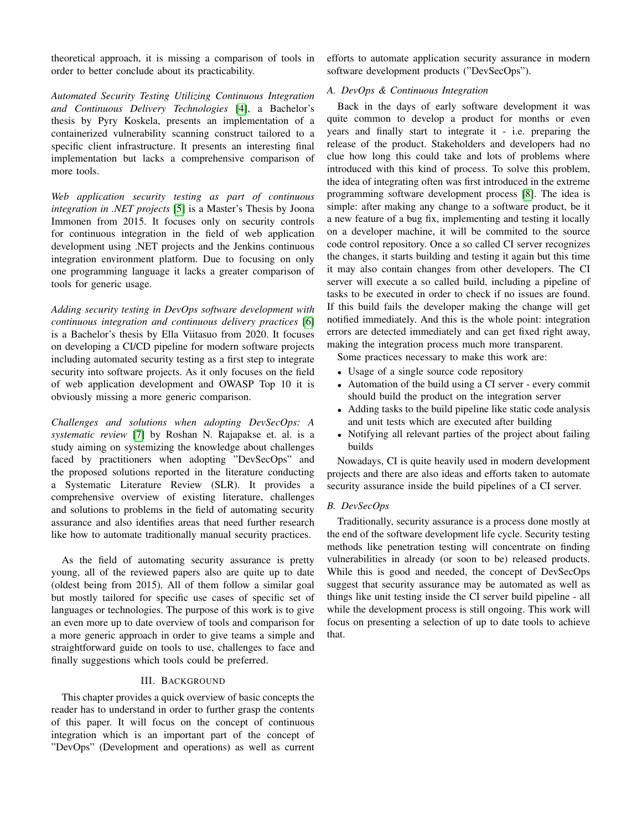theoretical approach, it is missing a comparison of tools in order to better conclude about its practicability.

*Automated Security Testing Utilizing Continuous Integration and Continuous Delivery Technologies* [\[4\]](#page-5-3), a Bachelor's thesis by Pyry Koskela, presents an implementation of a containerized vulnerability scanning construct tailored to a specific client infrastructure. It presents an interesting final implementation but lacks a comprehensive comparison of more tools.

*Web application security testing as part of continuous integration in .NET projects* [\[5\]](#page-5-4) is a Master's Thesis by Joona Immonen from 2015. It focuses only on security controls for continuous integration in the field of web application development using .NET projects and the Jenkins continuous integration environment platform. Due to focusing on only one programming language it lacks a greater comparison of tools for generic usage.

*Adding security testing in DevOps software development with continuous integration and continuous delivery practices* [\[6\]](#page-6-0) is a Bachelor's thesis by Ella Viitasuo from 2020. It focuses on developing a CI/CD pipeline for modern software projects including automated security testing as a first step to integrate security into software projects. As it only focuses on the field of web application development and OWASP Top 10 it is obviously missing a more generic comparison.

*Challenges and solutions when adopting DevSecOps: A systematic review* [\[7\]](#page-6-1) by Roshan N. Rajapakse et. al. is a study aiming on systemizing the knowledge about challenges faced by practitioners when adopting "DevSecOps" and the proposed solutions reported in the literature conducting a Systematic Literature Review (SLR). It provides a comprehensive overview of existing literature, challenges and solutions to problems in the field of automating security assurance and also identifies areas that need further research like how to automate traditionally manual security practices.

As the field of automating security assurance is pretty young, all of the reviewed papers also are quite up to date (oldest being from 2015). All of them follow a similar goal but mostly tailored for specific use cases of specific set of languages or technologies. The purpose of this work is to give an even more up to date overview of tools and comparison for a more generic approach in order to give teams a simple and straightforward guide on tools to use, challenges to face and finally suggestions which tools could be preferred.

## III. BACKGROUND

This chapter provides a quick overview of basic concepts the reader has to understand in order to further grasp the contents of this paper. It will focus on the concept of continuous integration which is an important part of the concept of "DevOps" (Development and operations) as well as current efforts to automate application security assurance in modern software development products ("DevSecOps").

## *A. DevOps & Continuous Integration*

Back in the days of early software development it was quite common to develop a product for months or even years and finally start to integrate it - i.e. preparing the release of the product. Stakeholders and developers had no clue how long this could take and lots of problems where introduced with this kind of process. To solve this problem, the idea of integrating often was first introduced in the extreme programming software development process [\[8\]](#page-6-2). The idea is simple: after making any change to a software product, be it a new feature of a bug fix, implementing and testing it locally on a developer machine, it will be commited to the source code control repository. Once a so called CI server recognizes the changes, it starts building and testing it again but this time it may also contain changes from other developers. The CI server will execute a so called build, including a pipeline of tasks to be executed in order to check if no issues are found. If this build fails the developer making the change will get notified immediately. And this is the whole point: integration errors are detected immediately and can get fixed right away, making the integration process much more transparent.

Some practices necessary to make this work are:

- Usage of a single source code repository
- Automation of the build using a CI server every commit should build the product on the integration server
- Adding tasks to the build pipeline like static code analysis and unit tests which are executed after building
- Notifying all relevant parties of the project about failing builds

Nowadays, CI is quite heavily used in modern development projects and there are also ideas and efforts taken to automate security assurance inside the build pipelines of a CI server.

## *B. DevSecOps*

Traditionally, security assurance is a process done mostly at the end of the software development life cycle. Security testing methods like penetration testing will concentrate on finding vulnerabilities in already (or soon to be) released products. While this is good and needed, the concept of DevSecOps suggest that security assurance may be automated as well as things like unit testing inside the CI server build pipeline - all while the development process is still ongoing. This work will focus on presenting a selection of up to date tools to achieve that.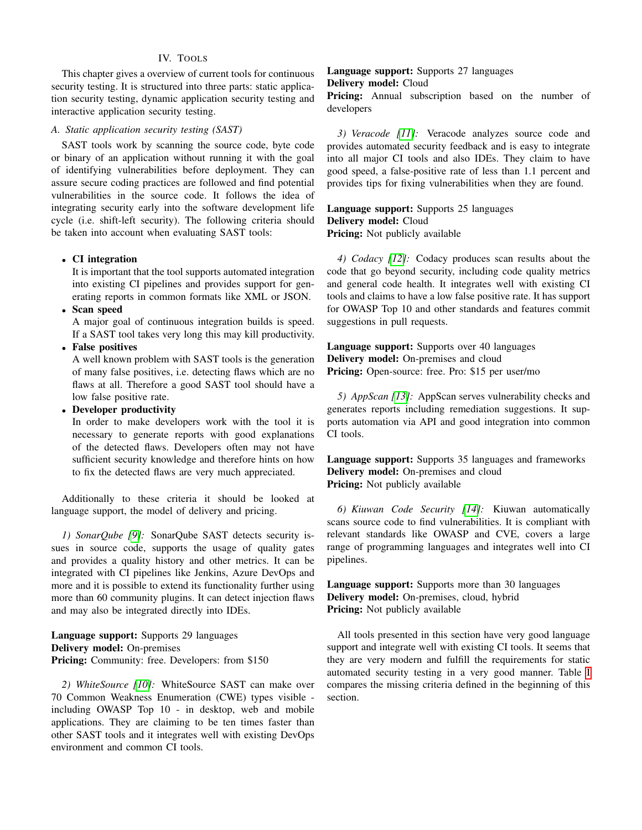## IV. TOOLS

This chapter gives a overview of current tools for continuous security testing. It is structured into three parts: static application security testing, dynamic application security testing and interactive application security testing.

#### *A. Static application security testing (SAST)*

SAST tools work by scanning the source code, byte code or binary of an application without running it with the goal of identifying vulnerabilities before deployment. They can assure secure coding practices are followed and find potential vulnerabilities in the source code. It follows the idea of integrating security early into the software development life cycle (i.e. shift-left security). The following criteria should be taken into account when evaluating SAST tools:

## • CI integration

It is important that the tool supports automated integration into existing CI pipelines and provides support for generating reports in common formats like XML or JSON.

• Scan speed

A major goal of continuous integration builds is speed. If a SAST tool takes very long this may kill productivity.

• False positives

A well known problem with SAST tools is the generation of many false positives, i.e. detecting flaws which are no flaws at all. Therefore a good SAST tool should have a low false positive rate.

• Developer productivity

In order to make developers work with the tool it is necessary to generate reports with good explanations of the detected flaws. Developers often may not have sufficient security knowledge and therefore hints on how to fix the detected flaws are very much appreciated.

Additionally to these criteria it should be looked at language support, the model of delivery and pricing.

*1) SonarQube [\[9\]](#page-6-3):* SonarQube SAST detects security issues in source code, supports the usage of quality gates and provides a quality history and other metrics. It can be integrated with CI pipelines like Jenkins, Azure DevOps and more and it is possible to extend its functionality further using more than 60 community plugins. It can detect injection flaws and may also be integrated directly into IDEs.

Language support: Supports 29 languages Delivery model: On-premises Pricing: Community: free. Developers: from \$150

*2) WhiteSource [\[10\]](#page-6-4):* WhiteSource SAST can make over 70 Common Weakness Enumeration (CWE) types visible including OWASP Top 10 - in desktop, web and mobile applications. They are claiming to be ten times faster than other SAST tools and it integrates well with existing DevOps environment and common CI tools.

## Language support: Supports 27 languages Delivery model: Cloud

Pricing: Annual subscription based on the number of developers

*3) Veracode [\[11\]](#page-6-5):* Veracode analyzes source code and provides automated security feedback and is easy to integrate into all major CI tools and also IDEs. They claim to have good speed, a false-positive rate of less than 1.1 percent and provides tips for fixing vulnerabilities when they are found.

Language support: Supports 25 languages Delivery model: Cloud Pricing: Not publicly available

*4) Codacy [\[12\]](#page-6-6):* Codacy produces scan results about the code that go beyond security, including code quality metrics and general code health. It integrates well with existing CI tools and claims to have a low false positive rate. It has support for OWASP Top 10 and other standards and features commit suggestions in pull requests.

Language support: Supports over 40 languages Delivery model: On-premises and cloud Pricing: Open-source: free. Pro: \$15 per user/mo

*5) AppScan [\[13\]](#page-6-7):* AppScan serves vulnerability checks and generates reports including remediation suggestions. It supports automation via API and good integration into common CI tools.

Language support: Supports 35 languages and frameworks Delivery model: On-premises and cloud Pricing: Not publicly available

*6) Kiuwan Code Security [\[14\]](#page-6-8):* Kiuwan automatically scans source code to find vulnerabilities. It is compliant with relevant standards like OWASP and CVE, covers a large range of programming languages and integrates well into CI pipelines.

Language support: Supports more than 30 languages Delivery model: On-premises, cloud, hybrid Pricing: Not publicly available

All tools presented in this section have very good language support and integrate well with existing CI tools. It seems that they are very modern and fulfill the requirements for static automated security testing in a very good manner. Table [I](#page-3-0) compares the missing criteria defined in the beginning of this section.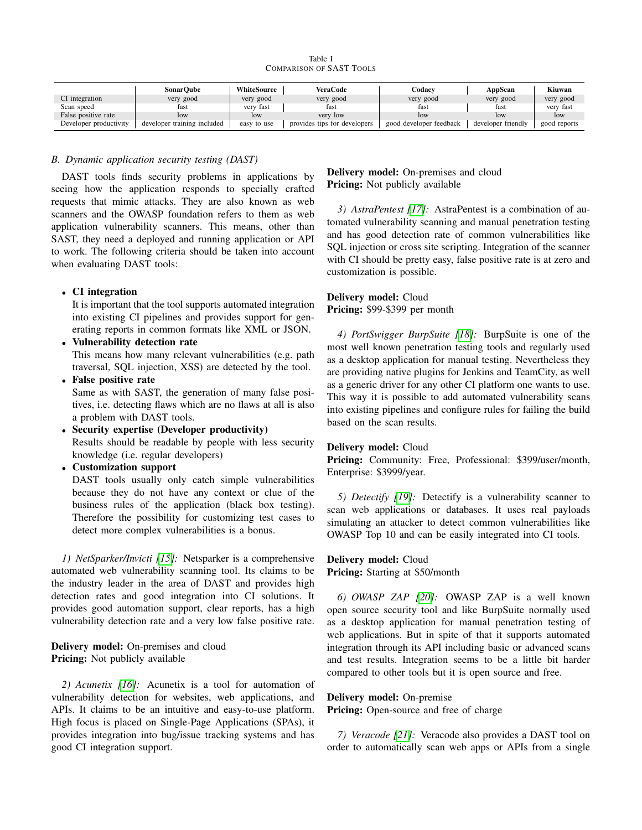Table I COMPARISON OF SAST TOOLS

<span id="page-3-0"></span>

|                        | SonarOube                   | WhiteSource | VeraCode                     | ⊡odacv                  | AppScan            | Kiuwan       |
|------------------------|-----------------------------|-------------|------------------------------|-------------------------|--------------------|--------------|
| CI integration         | very good                   | very good   | very good                    | very good               | very good          | very good    |
| Scan speed             | fast                        | very fast   | tast                         | fast                    | fast               | very fast    |
| False positive rate    | low                         | low         | very low                     | low                     | low                | low          |
| Developer productivity | developer training included | easy to use | provides tips for developers | good developer feedback | developer friendly | good reports |

## *B. Dynamic application security testing (DAST)*

DAST tools finds security problems in applications by seeing how the application responds to specially crafted requests that mimic attacks. They are also known as web scanners and the OWASP foundation refers to them as web application vulnerability scanners. This means, other than SAST, they need a deployed and running application or API to work. The following criteria should be taken into account when evaluating DAST tools:

## • CI integration

It is important that the tool supports automated integration into existing CI pipelines and provides support for generating reports in common formats like XML or JSON.

- Vulnerability detection rate This means how many relevant vulnerabilities (e.g. path traversal, SQL injection, XSS) are detected by the tool.
- False positive rate

Same as with SAST, the generation of many false positives, i.e. detecting flaws which are no flaws at all is also a problem with DAST tools.

- Security expertise (Developer productivity) Results should be readable by people with less security knowledge (i.e. regular developers)
- Customization support

DAST tools usually only catch simple vulnerabilities because they do not have any context or clue of the business rules of the application (black box testing). Therefore the possibility for customizing test cases to detect more complex vulnerabilities is a bonus.

*1) NetSparker/Invicti [\[15\]](#page-6-9):* Netsparker is a comprehensive automated web vulnerability scanning tool. Its claims to be the industry leader in the area of DAST and provides high detection rates and good integration into CI solutions. It provides good automation support, clear reports, has a high vulnerability detection rate and a very low false positive rate.

Delivery model: On-premises and cloud Pricing: Not publicly available

*2) Acunetix [\[16\]](#page-6-10):* Acunetix is a tool for automation of vulnerability detection for websites, web applications, and APIs. It claims to be an intuitive and easy-to-use platform. High focus is placed on Single-Page Applications (SPAs), it provides integration into bug/issue tracking systems and has good CI integration support.

## Delivery model: On-premises and cloud Pricing: Not publicly available

*3) AstraPentest [\[17\]](#page-6-11):* AstraPentest is a combination of automated vulnerability scanning and manual penetration testing and has good detection rate of common vulnerabilities like SQL injection or cross site scripting. Integration of the scanner with CI should be pretty easy, false positive rate is at zero and customization is possible.

# Delivery model: Cloud

## Pricing: \$99-\$399 per month

*4) PortSwigger BurpSuite [\[18\]](#page-6-12):* BurpSuite is one of the most well known penetration testing tools and regularly used as a desktop application for manual testing. Nevertheless they are providing native plugins for Jenkins and TeamCity, as well as a generic driver for any other CI platform one wants to use. This way it is possible to add automated vulnerability scans into existing pipelines and configure rules for failing the build based on the scan results.

#### Delivery model: Cloud

Pricing: Community: Free, Professional: \$399/user/month, Enterprise: \$3999/year.

*5) Detectify [\[19\]](#page-6-13):* Detectify is a vulnerability scanner to scan web applications or databases. It uses real payloads simulating an attacker to detect common vulnerabilities like OWASP Top 10 and can be easily integrated into CI tools.

## Delivery model: Cloud

Pricing: Starting at \$50/month

*6) OWASP ZAP [\[20\]](#page-6-14):* OWASP ZAP is a well known open source security tool and like BurpSuite normally used as a desktop application for manual penetration testing of web applications. But in spite of that it supports automated integration through its API including basic or advanced scans and test results. Integration seems to be a little bit harder compared to other tools but it is open source and free.

## Delivery model: On-premise

Pricing: Open-source and free of charge

*7) Veracode [\[21\]](#page-6-15):* Veracode also provides a DAST tool on order to automatically scan web apps or APIs from a single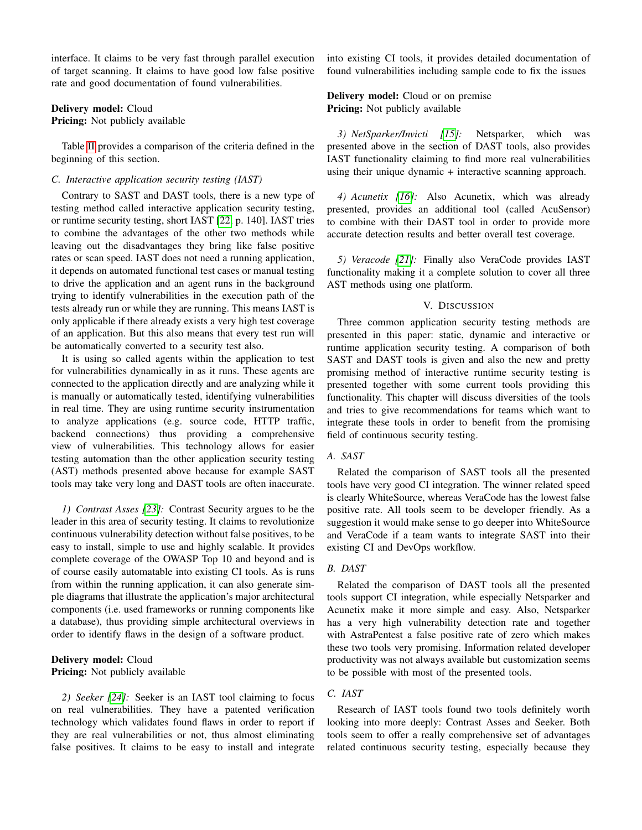interface. It claims to be very fast through parallel execution of target scanning. It claims to have good low false positive rate and good documentation of found vulnerabilities.

## Delivery model: Cloud

Pricing: Not publicly available

Table [II](#page-5-5) provides a comparison of the criteria defined in the beginning of this section.

## *C. Interactive application security testing (IAST)*

Contrary to SAST and DAST tools, there is a new type of testing method called interactive application security testing, or runtime security testing, short IAST [\[22,](#page-6-16) p. 140]. IAST tries to combine the advantages of the other two methods while leaving out the disadvantages they bring like false positive rates or scan speed. IAST does not need a running application, it depends on automated functional test cases or manual testing to drive the application and an agent runs in the background trying to identify vulnerabilities in the execution path of the tests already run or while they are running. This means IAST is only applicable if there already exists a very high test coverage of an application. But this also means that every test run will be automatically converted to a security test also.

It is using so called agents within the application to test for vulnerabilities dynamically in as it runs. These agents are connected to the application directly and are analyzing while it is manually or automatically tested, identifying vulnerabilities in real time. They are using runtime security instrumentation to analyze applications (e.g. source code, HTTP traffic, backend connections) thus providing a comprehensive view of vulnerabilities. This technology allows for easier testing automation than the other application security testing (AST) methods presented above because for example SAST tools may take very long and DAST tools are often inaccurate.

*1) Contrast Asses [\[23\]](#page-6-17):* Contrast Security argues to be the leader in this area of security testing. It claims to revolutionize continuous vulnerability detection without false positives, to be easy to install, simple to use and highly scalable. It provides complete coverage of the OWASP Top 10 and beyond and is of course easily automatable into existing CI tools. As is runs from within the running application, it can also generate simple diagrams that illustrate the application's major architectural components (i.e. used frameworks or running components like a database), thus providing simple architectural overviews in order to identify flaws in the design of a software product.

## Delivery model: Cloud **Pricing:** Not publicly available

*2) Seeker [\[24\]](#page-6-18):* Seeker is an IAST tool claiming to focus on real vulnerabilities. They have a patented verification technology which validates found flaws in order to report if they are real vulnerabilities or not, thus almost eliminating false positives. It claims to be easy to install and integrate into existing CI tools, it provides detailed documentation of found vulnerabilities including sample code to fix the issues

## Delivery model: Cloud or on premise Pricing: Not publicly available

*3) NetSparker/Invicti [\[15\]](#page-6-9):* Netsparker, which was presented above in the section of DAST tools, also provides IAST functionality claiming to find more real vulnerabilities using their unique dynamic + interactive scanning approach.

*4) Acunetix [\[16\]](#page-6-10):* Also Acunetix, which was already presented, provides an additional tool (called AcuSensor) to combine with their DAST tool in order to provide more accurate detection results and better overall test coverage.

*5) Veracode [\[21\]](#page-6-15):* Finally also VeraCode provides IAST functionality making it a complete solution to cover all three AST methods using one platform.

## V. DISCUSSION

Three common application security testing methods are presented in this paper: static, dynamic and interactive or runtime application security testing. A comparison of both SAST and DAST tools is given and also the new and pretty promising method of interactive runtime security testing is presented together with some current tools providing this functionality. This chapter will discuss diversities of the tools and tries to give recommendations for teams which want to integrate these tools in order to benefit from the promising field of continuous security testing.

#### *A. SAST*

Related the comparison of SAST tools all the presented tools have very good CI integration. The winner related speed is clearly WhiteSource, whereas VeraCode has the lowest false positive rate. All tools seem to be developer friendly. As a suggestion it would make sense to go deeper into WhiteSource and VeraCode if a team wants to integrate SAST into their existing CI and DevOps workflow.

## *B. DAST*

Related the comparison of DAST tools all the presented tools support CI integration, while especially Netsparker and Acunetix make it more simple and easy. Also, Netsparker has a very high vulnerability detection rate and together with AstraPentest a false positive rate of zero which makes these two tools very promising. Information related developer productivity was not always available but customization seems to be possible with most of the presented tools.

## *C. IAST*

Research of IAST tools found two tools definitely worth looking into more deeply: Contrast Asses and Seeker. Both tools seem to offer a really comprehensive set of advantages related continuous security testing, especially because they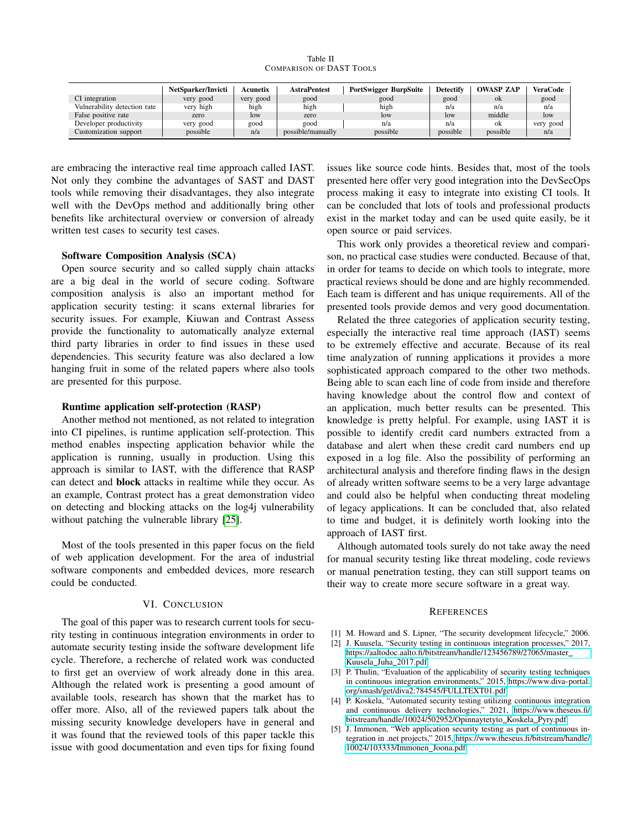Table II COMPARISON OF DAST TOOLS

<span id="page-5-5"></span>

|                              | NetSparker/Invicti | Acunetix  | <b>AstraPentest</b> | PortSwigger BurpSuite | <b>Detectify</b> | <b>OWASP ZAP</b> | VeraCode  |
|------------------------------|--------------------|-----------|---------------------|-----------------------|------------------|------------------|-----------|
| CI integration               | very good          | very good | good                | good                  | good             | ok               | good      |
| Vulnerability detection rate | very high          | high      | high                | high                  | n/a              | n/a              | n/a       |
| False positive rate          | zero               | low       | zero                | low                   | <b>low</b>       | middle           | low       |
| Developer productivity       | very good          | good      | good                | n/a                   | n/a              | ok               | very good |
| Customization support        | possible           | n/a       | possible/manually   | possible              | possible         | possible         | n/a       |

are embracing the interactive real time approach called IAST. Not only they combine the advantages of SAST and DAST tools while removing their disadvantages, they also integrate well with the DevOps method and additionally bring other benefits like architectural overview or conversion of already written test cases to security test cases.

## Software Composition Analysis (SCA)

Open source security and so called supply chain attacks are a big deal in the world of secure coding. Software composition analysis is also an important method for application security testing: it scans external libraries for security issues. For example, Kiuwan and Contrast Assess provide the functionality to automatically analyze external third party libraries in order to find issues in these used dependencies. This security feature was also declared a low hanging fruit in some of the related papers where also tools are presented for this purpose.

#### Runtime application self-protection (RASP)

Another method not mentioned, as not related to integration into CI pipelines, is runtime application self-protection. This method enables inspecting application behavior while the application is running, usually in production. Using this approach is similar to IAST, with the difference that RASP can detect and block attacks in realtime while they occur. As an example, Contrast protect has a great demonstration video on detecting and blocking attacks on the log4j vulnerability without patching the vulnerable library [\[25\]](#page-6-19).

Most of the tools presented in this paper focus on the field of web application development. For the area of industrial software components and embedded devices, more research could be conducted.

#### VI. CONCLUSION

The goal of this paper was to research current tools for security testing in continuous integration environments in order to automate security testing inside the software development life cycle. Therefore, a recherche of related work was conducted to first get an overview of work already done in this area. Although the related work is presenting a good amount of available tools, research has shown that the market has to offer more. Also, all of the reviewed papers talk about the missing security knowledge developers have in general and it was found that the reviewed tools of this paper tackle this issue with good documentation and even tips for fixing found

issues like source code hints. Besides that, most of the tools presented here offer very good integration into the DevSecOps process making it easy to integrate into existing CI tools. It can be concluded that lots of tools and professional products exist in the market today and can be used quite easily, be it open source or paid services.

This work only provides a theoretical review and comparison, no practical case studies were conducted. Because of that, in order for teams to decide on which tools to integrate, more practical reviews should be done and are highly recommended. Each team is different and has unique requirements. All of the presented tools provide demos and very good documentation.

Related the three categories of application security testing, especially the interactive real time approach (IAST) seems to be extremely effective and accurate. Because of its real time analyzation of running applications it provides a more sophisticated approach compared to the other two methods. Being able to scan each line of code from inside and therefore having knowledge about the control flow and context of an application, much better results can be presented. This knowledge is pretty helpful. For example, using IAST it is possible to identify credit card numbers extracted from a database and alert when these credit card numbers end up exposed in a log file. Also the possibility of performing an architectural analysis and therefore finding flaws in the design of already written software seems to be a very large advantage and could also be helpful when conducting threat modeling of legacy applications. It can be concluded that, also related to time and budget, it is definitely worth looking into the approach of IAST first.

Although automated tools surely do not take away the need for manual security testing like threat modeling, code reviews or manual penetration testing, they can still support teams on their way to create more secure software in a great way.

#### **REFERENCES**

- <span id="page-5-0"></span>[1] M. Howard and S. Lipner, "The security development lifecycle," 2006.
- <span id="page-5-1"></span>[2] J. Kuusela, "Security testing in continuous integration processes," 2017, [https://aaltodoc.aalto.fi/bitstream/handle/123456789/27065/master](https://aaltodoc.aalto.fi/bitstream/handle/123456789/27065/master_Kuusela_Juha_2017.pdf) Kuusela Juha [2017.pdf.](https://aaltodoc.aalto.fi/bitstream/handle/123456789/27065/master_Kuusela_Juha_2017.pdf)
- <span id="page-5-2"></span>[3] P. Thulin, "Evaluation of the applicability of security testing techniques in continuous integration environments," 2015, [https://www.diva-portal.](https://www.diva-portal.org/smash/get/diva2:784545/FULLTEXT01.pdf) [org/smash/get/diva2:784545/FULLTEXT01.pdf.](https://www.diva-portal.org/smash/get/diva2:784545/FULLTEXT01.pdf)
- <span id="page-5-3"></span>[4] P. Koskela, "Automated security testing utilizing continuous integration and continuous delivery technologies," 2021, [https://www.theseus.fi/](https://www.theseus.fi/bitstream/handle/10024/502952/Opinnaytetyto_Koskela_Pyry.pdf) [bitstream/handle/10024/502952/Opinnaytetyto](https://www.theseus.fi/bitstream/handle/10024/502952/Opinnaytetyto_Koskela_Pyry.pdf)\_Koskela\_Pyry.pdf.
- <span id="page-5-4"></span>[5] J. Immonen, "Web application security testing as part of continuous integration in .net projects," 2015, [https://www.theseus.fi/bitstream/handle/](https://www.theseus.fi/bitstream/handle/10024/103333/Immonen_Joona.pdf) [10024/103333/Immonen](https://www.theseus.fi/bitstream/handle/10024/103333/Immonen_Joona.pdf) Joona.pdf.